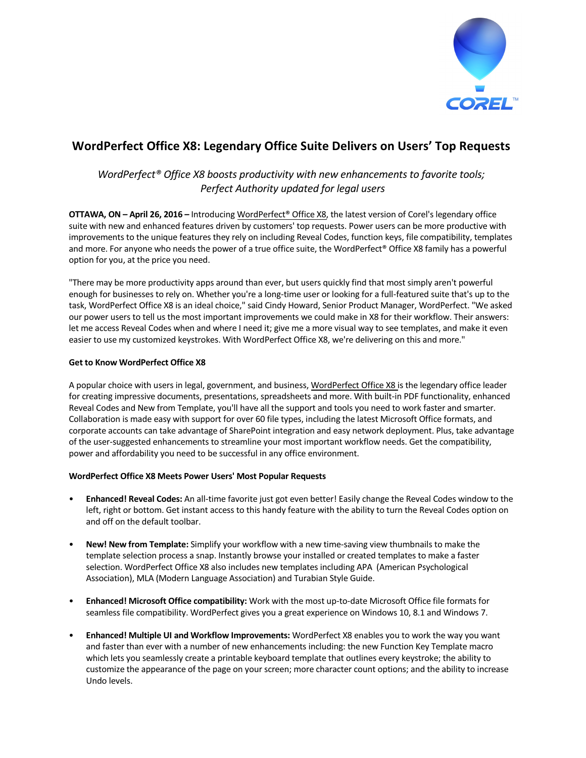

# **WordPerfect Office X8: Legendary Office Suite Delivers on Users' Top Requests**

# *WordPerfect® Office X8 boosts productivity with new enhancements to favorite tools; Perfect Authority updated for legal users*

**OTTAWA, ON – April 26, 2016 –** Introducing [WordPerfect®](http://www.wordperfect.com/office-suite?utm_source=CORPnewsRelease&utm_medium=media&utm_campaign=SMPRWPO&utm_content=X8A	) Office X8, the latest version of Corel's legendary office suite with new and enhanced features driven by customers' top requests. Power users can be more productive with improvements to the unique features they rely on including Reveal Codes, function keys, file compatibility, templates and more. For anyone who needs the power of a true office suite, the WordPerfect® Office X8 family has a powerful option for you, at the price you need.

"There may be more productivity apps around than ever, but users quickly find that most simply aren't powerful enough for businesses to rely on. Whether you're a long-time user or looking for a full-featured suite that's up to the task, WordPerfect Office X8 is an ideal choice," said Cindy Howard, Senior Product Manager, WordPerfect. "We asked our power users to tell us the most important improvements we could make in X8 for their workflow. Their answers: let me access Reveal Codes when and where I need it; give me a more visual way to see templates, and make it even easier to use my customized keystrokes. With WordPerfect Office X8, we're delivering on this and more."

# **Get to Know WordPerfect Office X8**

A popular choice with users in legal, government, and business, [WordPerfect](http://www.wordperfect.com/office-suite?utm_source=CORPnewsRelease&utm_medium=media&utm_campaign=SMPRWPO&utm_content=X8A) Office X8 is the legendary office leader for creating impressive documents, presentations, spreadsheets and more. With built-in PDF functionality, enhanced Reveal Codes and New from Template, you'll have all the support and tools you need to work faster and smarter. Collaboration is made easy with support for over 60 file types, including the latest Microsoft Office formats, and corporate accounts can take advantage of SharePoint integration and easy network deployment. Plus, take advantage of the user-suggested enhancements to streamline your most important workflow needs. Get the compatibility, power and affordability you need to be successful in any office environment.

# **WordPerfect Office X8 Meets Power Users' Most Popular Requests**

- **Enhanced! Reveal Codes:** An all-time favorite just got even better! Easily change the Reveal Codes window to the left, right or bottom. Get instant access to this handy feature with the ability to turn the Reveal Codes option on and off on the default toolbar.
- **New! New from Template:** Simplify your workflow with a new time-saving view thumbnails to make the template selection process a snap. Instantly browse your installed or created templates to make a faster selection. WordPerfect Office X8 also includes new templates including APA (American Psychological Association), MLA (Modern Language Association) and Turabian Style Guide.
- **Enhanced! Microsoft Office compatibility:** Work with the most up-to-date Microsoft Office file formats for seamless file compatibility. WordPerfect gives you a great experience on Windows 10, 8.1 and Windows 7.
- **Enhanced! Multiple UI and Workflow Improvements:** WordPerfect X8 enables you to work the way you want and faster than ever with a number of new enhancements including: the new Function Key Template macro which lets you seamlessly create a printable keyboard template that outlines every keystroke; the ability to customize the appearance of the page on your screen; more character count options; and the ability to increase Undo levels.